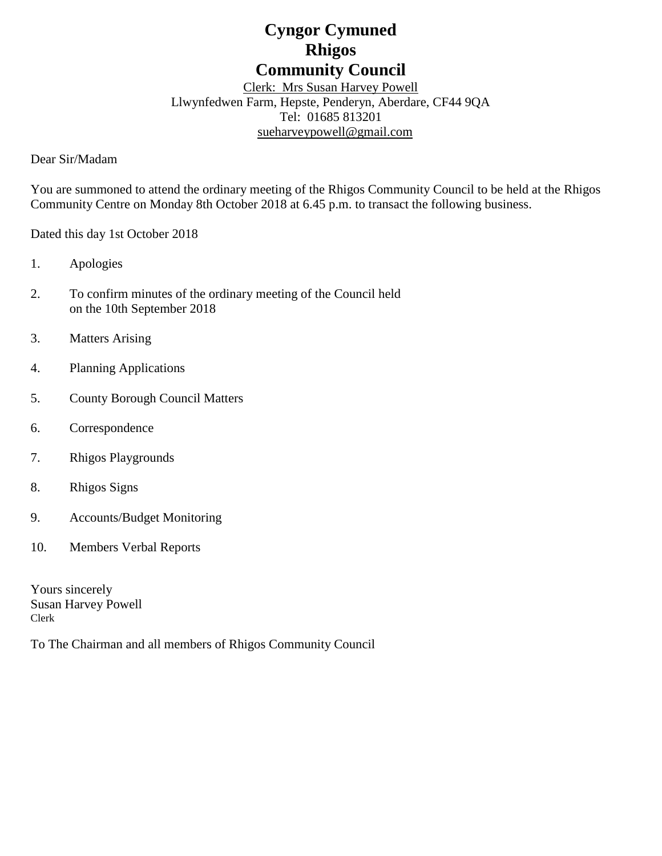# **Cyngor Cymuned Rhigos Community Council**

Clerk: Mrs Susan Harvey Powell Llwynfedwen Farm, Hepste, Penderyn, Aberdare, CF44 9QA Tel: 01685 813201 [sueharveypowell@g](mailto:sharveypowell@comin-infants.co.uk)mail.com

Dear Sir/Madam

You are summoned to attend the ordinary meeting of the Rhigos Community Council to be held at the Rhigos Community Centre on Monday 8th October 2018 at 6.45 p.m. to transact the following business.

Dated this day 1st October 2018

- 1. Apologies
- 2. To confirm minutes of the ordinary meeting of the Council held on the 10th September 2018
- 3. Matters Arising
- 4. Planning Applications
- 5. County Borough Council Matters
- 6. Correspondence
- 7. Rhigos Playgrounds
- 8. Rhigos Signs
- 9. Accounts/Budget Monitoring
- 10. Members Verbal Reports

Yours sincerely Susan Harvey Powell Clerk

To The Chairman and all members of Rhigos Community Council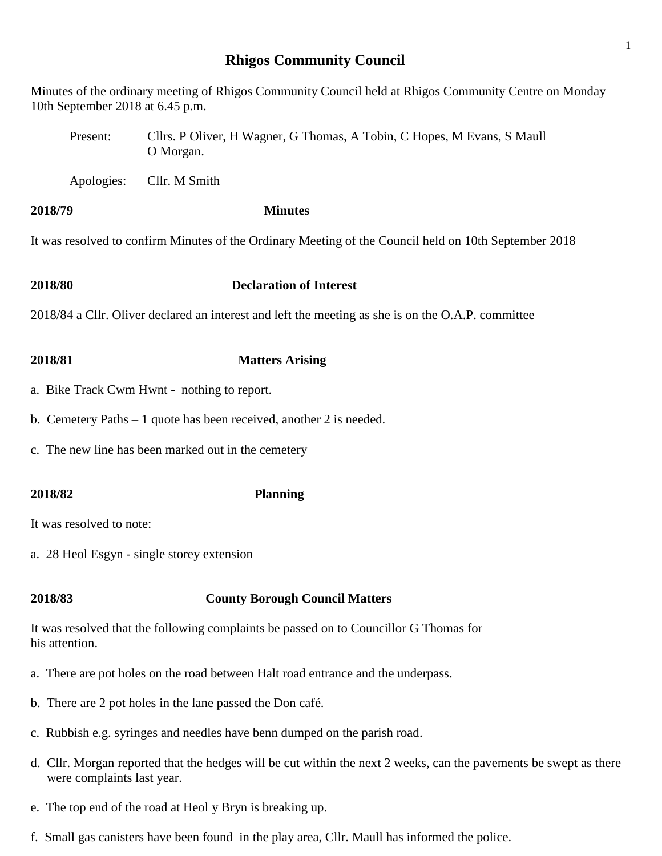# **Rhigos Community Council**

1

Minutes of the ordinary meeting of Rhigos Community Council held at Rhigos Community Centre on Monday 10th September 2018 at 6.45 p.m.

- Present: Cllrs. P Oliver, H Wagner, G Thomas, A Tobin, C Hopes, M Evans, S Maull O Morgan.
- Apologies: Cllr. M Smith

# **2018/79 Minutes**

It was resolved to confirm Minutes of the Ordinary Meeting of the Council held on 10th September 2018

**2018/80 Declaration of Interest**

2018/84 a Cllr. Oliver declared an interest and left the meeting as she is on the O.A.P. committee

# **2018/81 Matters Arising**

- a. Bike Track Cwm Hwnt nothing to report.
- b. Cemetery Paths 1 quote has been received, another 2 is needed.
- c. The new line has been marked out in the cemetery

# **2018/82 Planning**

It was resolved to note:

a. 28 Heol Esgyn - single storey extension

# **2018/83 County Borough Council Matters**

It was resolved that the following complaints be passed on to Councillor G Thomas for his attention.

- a. There are pot holes on the road between Halt road entrance and the underpass.
- b. There are 2 pot holes in the lane passed the Don café.
- c. Rubbish e.g. syringes and needles have benn dumped on the parish road.
- d. Cllr. Morgan reported that the hedges will be cut within the next 2 weeks, can the pavements be swept as there were complaints last year.
- e. The top end of the road at Heol y Bryn is breaking up.
- f. Small gas canisters have been found in the play area, Cllr. Maull has informed the police.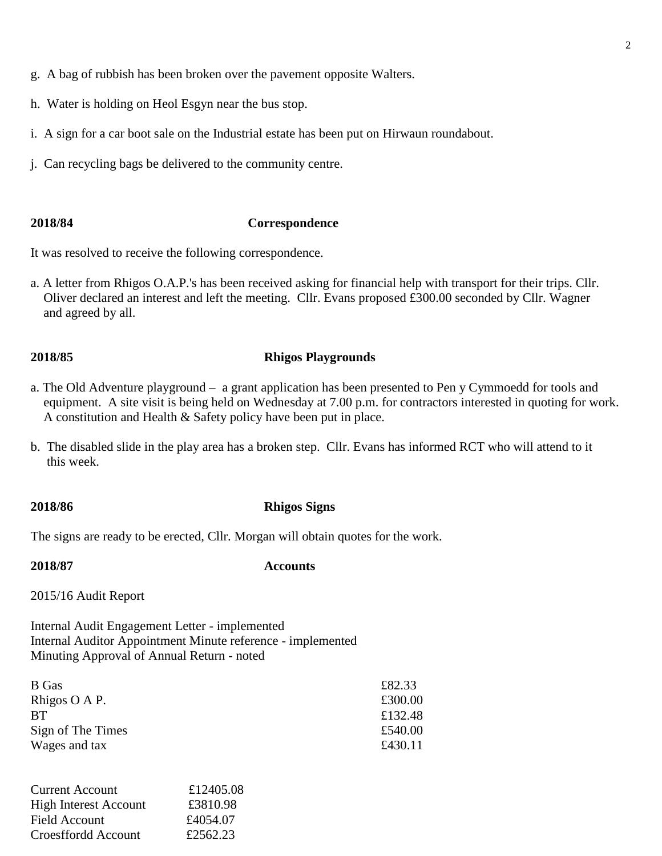- h. Water is holding on Heol Esgyn near the bus stop.
- i. A sign for a car boot sale on the Industrial estate has been put on Hirwaun roundabout.
- j. Can recycling bags be delivered to the community centre.

### **2018/84 Correspondence**

It was resolved to receive the following correspondence.

a. A letter from Rhigos O.A.P.'s has been received asking for financial help with transport for their trips. Cllr. Oliver declared an interest and left the meeting. Cllr. Evans proposed £300.00 seconded by Cllr. Wagner and agreed by all.

### **2018/85 Rhigos Playgrounds**

- a. The Old Adventure playground a grant application has been presented to Pen y Cymmoedd for tools and equipment. A site visit is being held on Wednesday at 7.00 p.m. for contractors interested in quoting for work. A constitution and Health & Safety policy have been put in place.
- b. The disabled slide in the play area has a broken step. Cllr. Evans has informed RCT who will attend to it this week.

## **2018/86 Rhigos Signs**

The signs are ready to be erected, Cllr. Morgan will obtain quotes for the work.

### **2018/87 Accounts**

2015/16 Audit Report

Internal Audit Engagement Letter - implemented Internal Auditor Appointment Minute reference - implemented Minuting Approval of Annual Return - noted

| B Gas             | £82.33  |
|-------------------|---------|
| Rhigos O A P.     | £300.00 |
| RТ                | £132.48 |
| Sign of The Times | £540.00 |
| Wages and tax     | £430.11 |

| <b>Current Account</b>       | £12405.08 |
|------------------------------|-----------|
| <b>High Interest Account</b> | £3810.98  |
| Field Account                | £4054.07  |
| Croesffordd Account          | £2562.23  |